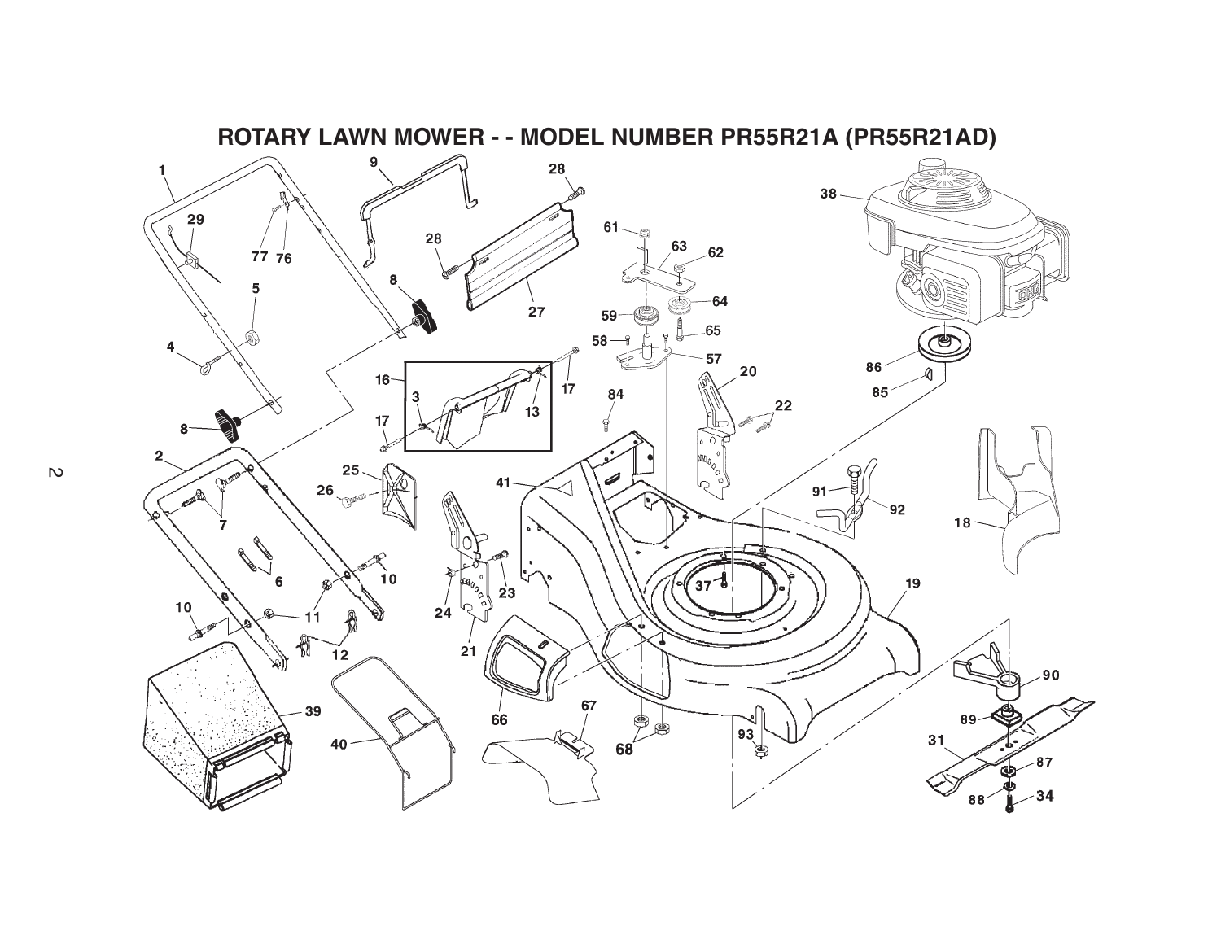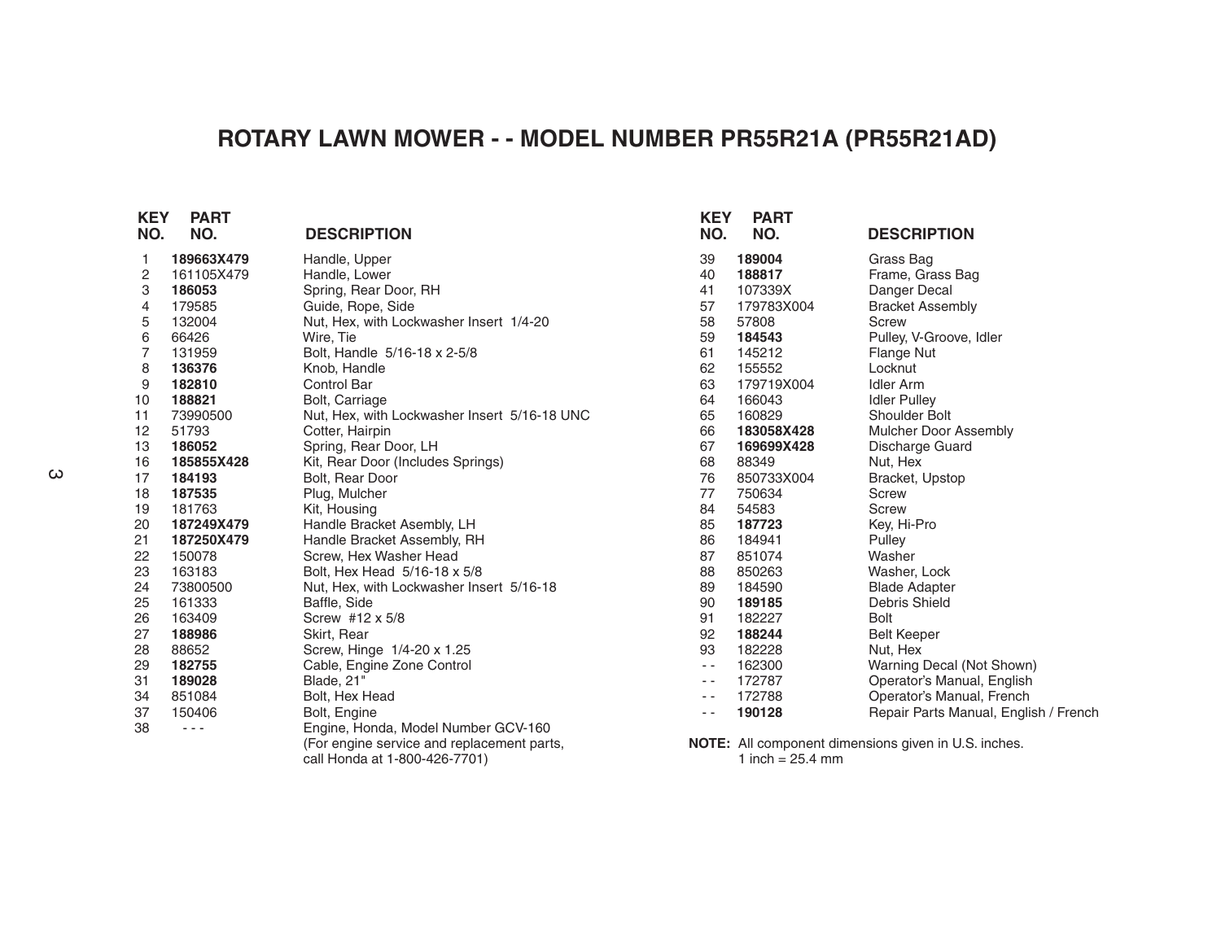## **ROTARY LAWN MOWER - - MODEL NUMBER PR55R21A (PR55R21AD)**

| <b>KEY</b><br>NO. | <b>PART</b><br>NO. | <b>DESCRIPTION</b>                           | <b>KEY</b><br>NO. | <b>PART</b><br>NO. | <b>DESCRIPTION</b>                                          |
|-------------------|--------------------|----------------------------------------------|-------------------|--------------------|-------------------------------------------------------------|
| 1                 | 189663X479         | Handle, Upper                                | 39                | 189004             | Grass Bag                                                   |
| 2                 | 161105X479         | Handle, Lower                                | 40                | 188817             | Frame, Grass Bag                                            |
| 3                 | 186053             | Spring, Rear Door, RH                        | 41                | 107339X            | Danger Decal                                                |
| 4                 | 179585             | Guide, Rope, Side                            | 57                | 179783X004         | <b>Bracket Assembly</b>                                     |
| 5                 | 132004             | Nut, Hex, with Lockwasher Insert 1/4-20      | 58                | 57808              | Screw                                                       |
| 6                 | 66426              | Wire, Tie                                    | 59                | 184543             | Pulley, V-Groove, Idler                                     |
| $\overline{7}$    | 131959             | Bolt, Handle 5/16-18 x 2-5/8                 | 61                | 145212             | Flange Nut                                                  |
| 8                 | 136376             | Knob, Handle                                 | 62                | 155552             | Locknut                                                     |
| 9                 | 182810             | <b>Control Bar</b>                           | 63                | 179719X004         | <b>Idler Arm</b>                                            |
| 10                | 188821             | Bolt, Carriage                               | 64                | 166043             | <b>Idler Pulley</b>                                         |
| 11                | 73990500           | Nut, Hex, with Lockwasher Insert 5/16-18 UNC | 65                | 160829             | Shoulder Bolt                                               |
| 12                | 51793              | Cotter, Hairpin                              | 66                | 183058X428         | Mulcher Door Assembly                                       |
| 13                | 186052             | Spring, Rear Door, LH                        | 67                | 169699X428         | Discharge Guard                                             |
| 16                | 185855X428         | Kit, Rear Door (Includes Springs)            | 68                | 88349              | Nut, Hex                                                    |
| 17                | 184193             | Bolt, Rear Door                              | 76                | 850733X004         | Bracket, Upstop                                             |
| 18                | 187535             | Plug, Mulcher                                | 77                | 750634             | <b>Screw</b>                                                |
| 19                | 181763             | Kit, Housing                                 | 84                | 54583              | <b>Screw</b>                                                |
| 20                | 187249X479         | Handle Bracket Asembly, LH                   | 85                | 187723             | Key, Hi-Pro                                                 |
| 21                | 187250X479         | Handle Bracket Assembly, RH                  | 86                | 184941             | Pulley                                                      |
| 22                | 150078             | Screw, Hex Washer Head                       | 87                | 851074             | Washer                                                      |
| 23                | 163183             | Bolt, Hex Head 5/16-18 x 5/8                 | 88                | 850263             | Washer, Lock                                                |
| 24                | 73800500           | Nut, Hex, with Lockwasher Insert 5/16-18     | 89                | 184590             | <b>Blade Adapter</b>                                        |
| 25                | 161333             | Baffle, Side                                 | 90                | 189185             | Debris Shield                                               |
| 26                | 163409             | Screw #12 x 5/8                              | 91                | 182227             | <b>Bolt</b>                                                 |
| 27                | 188986             | Skirt, Rear                                  | 92                | 188244             | <b>Belt Keeper</b>                                          |
| 28                | 88652              | Screw, Hinge 1/4-20 x 1.25                   | 93                | 182228             | Nut, Hex                                                    |
| 29                | 182755             | Cable, Engine Zone Control                   | $\sim$ $\sim$     | 162300             | Warning Decal (Not Shown)                                   |
| 31                | 189028             | Blade, 21"                                   | $ -$              | 172787             | Operator's Manual, English                                  |
| 34                | 851084             | Bolt, Hex Head                               | $ -$              | 172788             | Operator's Manual, French                                   |
| 37                | 150406             | Bolt, Engine                                 | $ -$              | 190128             | Repair Parts Manual, English / French                       |
| 38                | $  -$              | Engine, Honda, Model Number GCV-160          |                   |                    |                                                             |
|                   |                    | (For engine service and replacement parts,   |                   |                    | <b>NOTE:</b> All component dimensions given in U.S. inches. |
|                   |                    | call Honda at 1-800-426-7701)                |                   | 1 inch = $25.4$ mm |                                                             |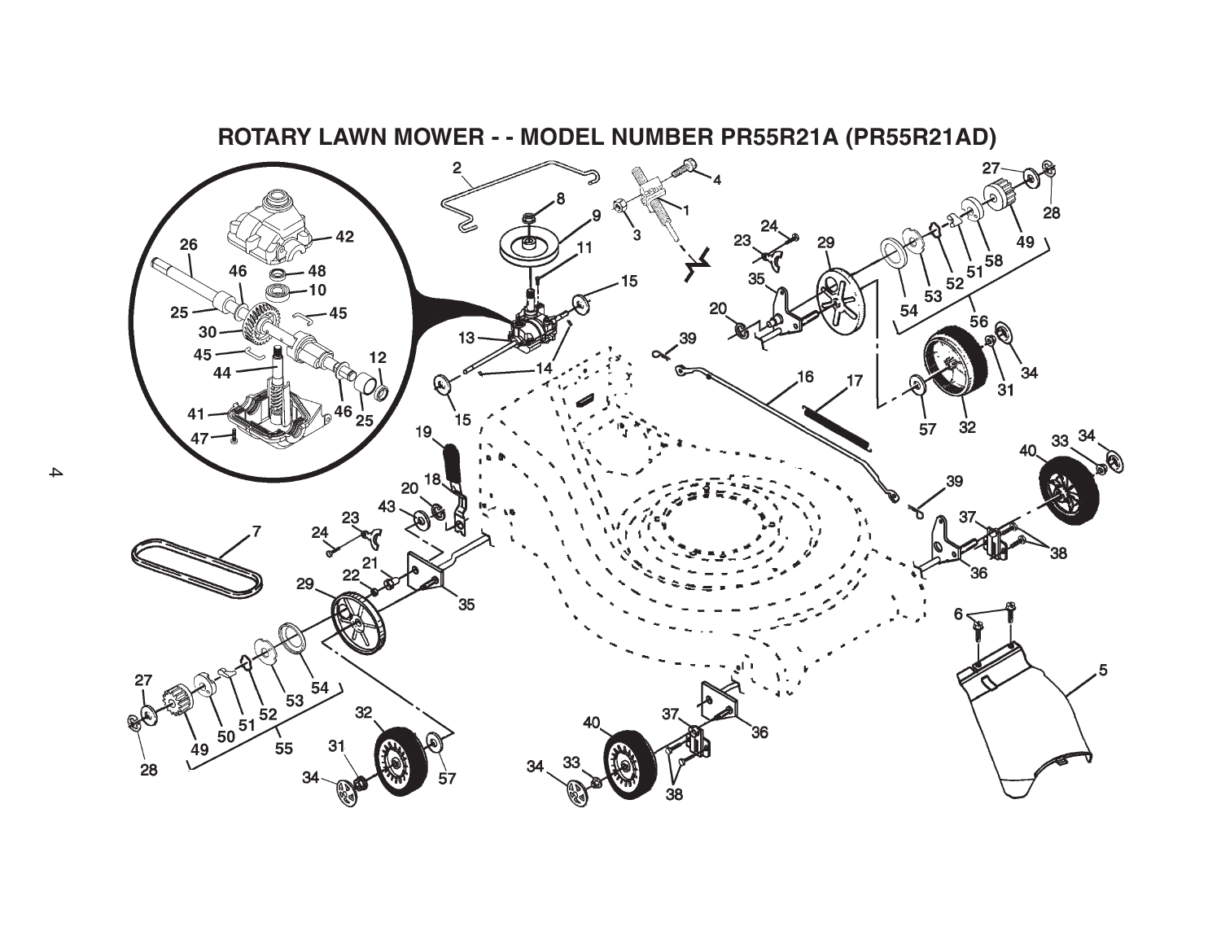

## **ROTARY LAWN MOWER - - MODEL NUMBER PR55R21A (PR55R21AD)**